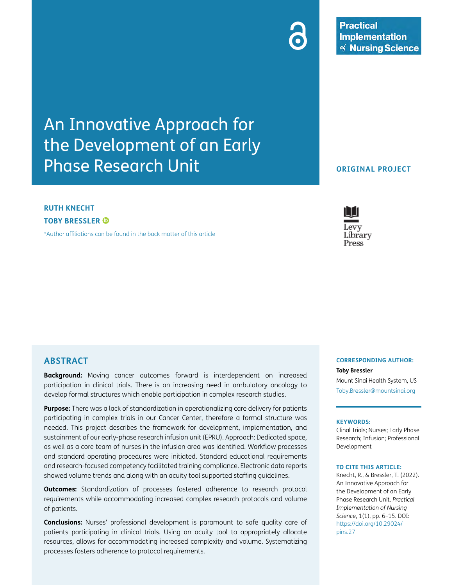An Innovative Approach for the Development of an Early Phase Research Unit

## **RUTH KNECHT TOBY BRESSLER**

[\\*Author affiliations can be found in the back matter of this article](#page-9-0)

**ABSTRACT**

**Background:** Moving cancer outcomes forward is interdependent on increased participation in clinical trials. There is an increasing need in ambulatory oncology to develop formal structures which enable participation in complex research studies.

**Purpose:** There was a lack of standardization in operationalizing care delivery for patients participating in complex trials in our Cancer Center, therefore a formal structure was needed. This project describes the framework for development, implementation, and sustainment of our early-phase research infusion unit (EPRU). Approach: Dedicated space, as well as a core team of nurses in the infusion area was identified. Workflow processes and standard operating procedures were initiated. Standard educational requirements and research-focused competency facilitated training compliance. Electronic data reports showed volume trends and along with an acuity tool supported staffing guidelines.

**Outcomes:** Standardization of processes fostered adherence to research protocol requirements while accommodating increased complex research protocols and volume of patients.

**Conclusions:** Nurses' professional development is paramount to safe quality care of patients participating in clinical trials. Using an acuity tool to appropriately allocate resources, allows for accommodating increased complexity and volume. Systematizing processes fosters adherence to protocol requirements.

# **ORIGINAL PROJECT**

### **CORRESPONDING AUTHOR: Toby Bressler**

Mount Sinai Health System, US [Toby.Bressler@mountsinai.org](mailto:Toby.Bressler@mountsinai.org)

#### **KEYWORDS:**

Clinal Trials; Nurses; Early Phase Research; Infusion; Professional Development

#### **TO CITE THIS ARTICLE:**

Knecht, R., & Bressler, T. (2022). An Innovative Approach for the Development of an Early Phase Research Unit. *Practical Implementation of Nursing Science*, 1(1), pp. 6–15. DOI: [https://doi.org/10.29024/](https://doi.org/10.29024/pins.27) [pins.27](https://doi.org/10.29024/pins.27)



### **Practical Implementation**  $\mathcal{A}$  Nursing Science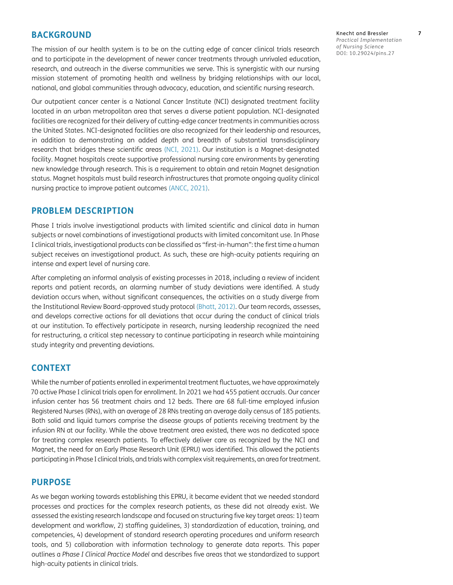### **BACKGROUND**

The mission of our health system is to be on the cutting edge of cancer clinical trials research and to participate in the development of newer cancer treatments through unrivaled education, research, and outreach in the diverse communities we serve. This is synergistic with our nursing mission statement of promoting health and wellness by bridging relationships with our local, national, and global communities through advocacy, education, and scientific nursing research.

Our outpatient cancer center is a National Cancer Institute (NCI) designated treatment facility located in an urban metropolitan area that serves a diverse patient population. NCI-designated facilities are recognized for their delivery of cutting-edge cancer treatments in communities across the United States. NCI-designated facilities are also recognized for their leadership and resources, in addition to demonstrating an added depth and breadth of substantial transdisciplinary research that bridges these scientific areas ([NCI, 2021](#page-9-1)). Our institution is a Magnet-designated facility. Magnet hospitals create supportive professional nursing care environments by generating new knowledge through research. This is a requirement to obtain and retain Magnet designation status. Magnet hospitals must build research infrastructures that promote ongoing quality clinical nursing practice to improve patient outcomes [\(ANCC, 2021](#page-9-2)).

### **PROBLEM DESCRIPTION**

Phase I trials involve investigational products with limited scientific and clinical data in human subjects or novel combinations of investigational products with limited concomitant use. In Phase I clinical trials, investigational products can be classified as "first-in-human": the first time a human subject receives an investigational product. As such, these are high-acuity patients requiring an intense and expert level of nursing care.

After completing an informal analysis of existing processes in 2018, including a review of incident reports and patient records, an alarming number of study deviations were identified. A study deviation occurs when, without significant consequences, the activities on a study diverge from the Institutional Review Board-approved study protocol [\(Bhatt, 2012](#page-9-3)). Our team records, assesses, and develops corrective actions for all deviations that occur during the conduct of clinical trials at our institution. To effectively participate in research, nursing leadership recognized the need for restructuring, a critical step necessary to continue participating in research while maintaining study integrity and preventing deviations.

### **CONTEXT**

While the number of patients enrolled in experimental treatment fluctuates, we have approximately 70 active Phase I clinical trials open for enrollment. In 2021 we had 455 patient accruals. Our cancer infusion center has 56 treatment chairs and 12 beds. There are 68 full-time employed infusion Registered Nurses (RNs), with an average of 28 RNs treating an average daily census of 185 patients. Both solid and liquid tumors comprise the disease groups of patients receiving treatment by the infusion RN at our facility. While the above treatment area existed, there was no dedicated space for treating complex research patients. To effectively deliver care as recognized by the NCI and Magnet, the need for an Early Phase Research Unit (EPRU) was identified. This allowed the patients participating in Phase I clinical trials, and trials with complex visit requirements, an area for treatment.

### **PURPOSE**

As we began working towards establishing this EPRU, it became evident that we needed standard processes and practices for the complex research patients, as these did not already exist. We assessed the existing research landscape and focused on structuring five key target areas: 1) team development and workflow, 2) staffing guidelines, 3) standardization of education, training, and competencies, 4) development of standard research operating procedures and uniform research tools, and 5) collaboration with information technology to generate data reports. This paper outlines a *Phase I Clinical Practice Model* and describes five areas that we standardized to support high-acuity patients in clinical trials.

Knecht and Bressler **7** *Practical Implementation of Nursing Science* DOI: 10.29024/pins.27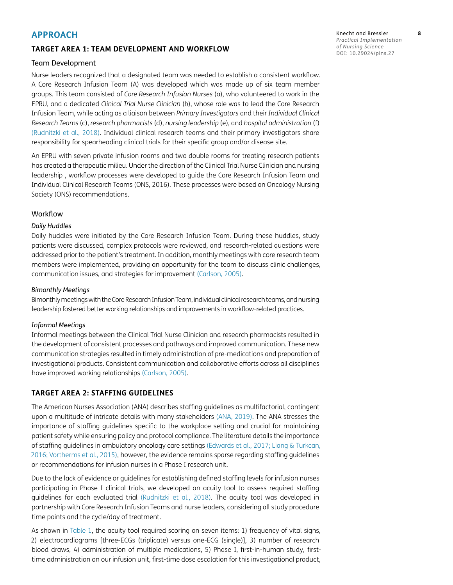### **APPROACH**

### **TARGET AREA 1: TEAM DEVELOPMENT AND WORKFLOW**

#### Team Development

Nurse leaders recognized that a designated team was needed to establish a consistent workflow. A Core Research Infusion Team (A) was developed which was made up of six team member groups. This team consisted of *Core Research Infusion Nurses* (a), who volunteered to work in the EPRU, and a dedicated *Clinical Trial Nurse Clinician* (b), whose role was to lead the Core Research Infusion Team, while acting as a liaison between *Primary Investigators* and their *Individual Clinical Research Teams* (c), *research pharmacists* (d), *nursing leadership* (e), and *hospital administration* (f) [\(Rudnitzki et al., 2018\)](#page-9-4). Individual clinical research teams and their primary investigators share responsibility for spearheading clinical trials for their specific group and/or disease site.

An EPRU with seven private infusion rooms and two double rooms for treating research patients has created a therapeutic milieu. Under the direction of the Clinical Trial Nurse Clinician and nursing leadership , workflow processes were developed to guide the Core Research Infusion Team and Individual Clinical Research Teams (ONS, 2016). These processes were based on Oncology Nursing Society (ONS) recommendations.

### Workflow

#### *Daily Huddles*

Daily huddles were initiated by the Core Research Infusion Team. During these huddles, study patients were discussed, complex protocols were reviewed, and research-related questions were addressed prior to the patient's treatment. In addition, monthly meetings with core research team members were implemented, providing an opportunity for the team to discuss clinic challenges, communication issues, and strategies for improvement [\(Carlson, 2005\)](#page-9-5).

#### *Bimonthly Meetings*

Bimonthly meetings with the Core Research Infusion Team, individual clinical research teams, and nursing leadership fostered better working relationships and improvements in workflow-related practices.

#### *Informal Meetings*

Informal meetings between the Clinical Trial Nurse Clinician and research pharmacists resulted in the development of consistent processes and pathways and improved communication. These new communication strategies resulted in timely administration of pre-medications and preparation of investigational products. Consistent communication and collaborative efforts across all disciplines have improved working relationships ([Carlson, 2005\)](#page-9-5).

### **TARGET AREA 2: STAFFING GUIDELINES**

The American Nurses Association (ANA) describes staffing guidelines as multifactorial, contingent upon a multitude of intricate details with many stakeholders [\(ANA, 2019](#page-9-6)). The ANA stresses the importance of staffing guidelines specific to the workplace setting and crucial for maintaining patient safety while ensuring policy and protocol compliance. The literature details the importance of staffing guidelines in ambulatory oncology care settings [\(Edwards et al., 2017](#page-9-7); [Liang & Turkcan,](#page-9-8)  [2016](#page-9-8); [Vortherms et al., 2015\)](#page-9-9), however, the evidence remains sparse regarding staffing guidelines or recommendations for infusion nurses in a Phase I research unit.

Due to the lack of evidence or guidelines for establishing defined staffing levels for infusion nurses participating in Phase I clinical trials, we developed an acuity tool to assess required staffing guidelines for each evaluated trial [\(Rudnitzki et al., 2018](#page-9-4)). The acuity tool was developed in partnership with Core Research Infusion Teams and nurse leaders, considering all study procedure time points and the cycle/day of treatment.

As shown in [Table 1](#page-4-0), the acuity tool required scoring on seven items: 1) frequency of vital signs, 2) electrocardiograms [three-ECGs (triplicate) versus one-ECG (single)], 3) number of research blood draws, 4) administration of multiple medications, 5) Phase I, first-in-human study, firsttime administration on our infusion unit, first-time dose escalation for this investigational product,

Knecht and Bressler **8** *Practical Implementation of Nursing Science* DOI: 10.29024/pins.27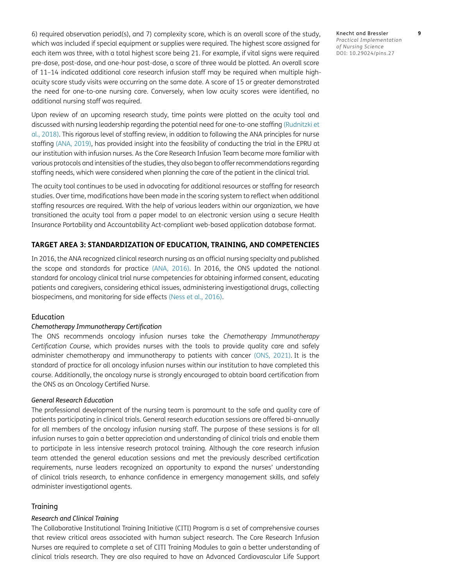6) required observation period(s), and 7) complexity score, which is an overall score of the study, which was included if special equipment or supplies were required. The highest score assigned for each item was three, with a total highest score being 21. For example, if vital signs were required pre-dose, post-dose, and one-hour post-dose, a score of three would be plotted. An overall score of 11–14 indicated additional core research infusion staff may be required when multiple highacuity score study visits were occurring on the same date. A score of 15 or greater demonstrated the need for one-to-one nursing care. Conversely, when low acuity scores were identified, no additional nursing staff was required.

Upon review of an upcoming research study, time points were plotted on the acuity tool and discussed with nursing leadership regarding the potential need for one-to-one staffing [\(Rudnitzki et](#page-9-4) [al., 2018\)](#page-9-4). This rigorous level of staffing review, in addition to following the ANA principles for nurse staffing [\(ANA, 2019\)](#page-9-6), has provided insight into the feasibility of conducting the trial in the EPRU at our institution with infusion nurses. As the Core Research Infusion Team became more familiar with various protocols and intensities of the studies, they also began to offer recommendations regarding staffing needs, which were considered when planning the care of the patient in the clinical trial.

The acuity tool continues to be used in advocating for additional resources or staffing for research studies. Over time, modifications have been made in the scoring system to reflect when additional staffing resources are required. With the help of various leaders within our organization, we have transitioned the acuity tool from a paper model to an electronic version using a secure Health Insurance Portability and Accountability Act-compliant web-based application database format.

#### **TARGET AREA 3: STANDARDIZATION OF EDUCATION, TRAINING, AND COMPETENCIES**

In 2016, the ANA recognized clinical research nursing as an official nursing specialty and published the scope and standards for practice [\(ANA, 2016](#page-9-10)). In 2016, the ONS updated the national standard for oncology clinical trial nurse competencies for obtaining informed consent, educating patients and caregivers, considering ethical issues, administering investigational drugs, collecting biospecimens, and monitoring for side effects [\(Ness et al., 2016](#page-9-11)).

#### Education

#### *Chemotherapy Immunotherapy Certification*

The ONS recommends oncology infusion nurses take the *Chemotherapy Immunotherapy Certification Course*, which provides nurses with the tools to provide quality care and safely administer chemotherapy and immunotherapy to patients with cancer [\(ONS, 2021](#page-9-12)). It is the standard of practice for all oncology infusion nurses within our institution to have completed this course. Additionally, the oncology nurse is strongly encouraged to obtain board certification from the ONS as an Oncology Certified Nurse.

#### *General Research Education*

The professional development of the nursing team is paramount to the safe and quality care of patients participating in clinical trials. General research education sessions are offered bi-annually for all members of the oncology infusion nursing staff. The purpose of these sessions is for all infusion nurses to gain a better appreciation and understanding of clinical trials and enable them to participate in less intensive research protocol training. Although the core research infusion team attended the general education sessions and met the previously described certification requirements, nurse leaders recognized an opportunity to expand the nurses' understanding of clinical trials research, to enhance confidence in emergency management skills, and safely administer investigational agents.

#### **Training**

#### *Research and Clinical Training*

The Collaborative Institutional Training Initiative (CITI) Program is a set of comprehensive courses that review critical areas associated with human subject research. The Core Research Infusion Nurses are required to complete a set of CITI Training Modules to gain a better understanding of clinical trials research. They are also required to have an Advanced Cardiovascular Life Support

Knecht and Bressler **9** *Practical Implementation of Nursing Science* DOI: 10.29024/pins.27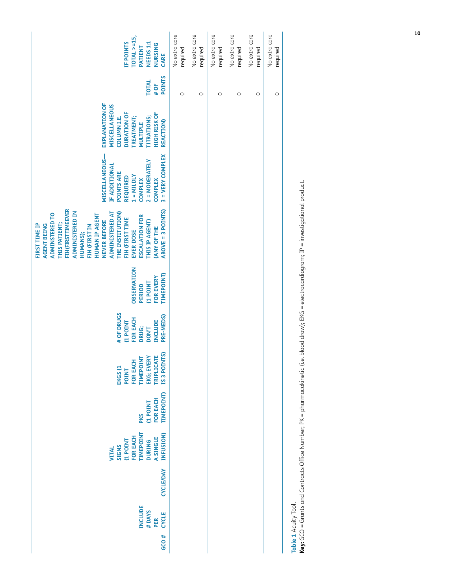| TOTAL $> = 15$ ,<br>IF POINTS<br>NEEDS 1:1<br>NURSING<br>PATIENT<br>CARE                                                                                                                                                                                                                                                                                                  | No extra care<br>required | No extra care<br>required | No extra care<br>required | No extra care<br>required | No extra care<br>required | No extra care<br>required |  |
|---------------------------------------------------------------------------------------------------------------------------------------------------------------------------------------------------------------------------------------------------------------------------------------------------------------------------------------------------------------------------|---------------------------|---------------------------|---------------------------|---------------------------|---------------------------|---------------------------|--|
| <b>POINTS</b><br><b>TOTAL</b><br># OF                                                                                                                                                                                                                                                                                                                                     | $\circ$                   | $\circ$                   | $\circ$                   | $\circ$                   | $\circ$                   | $\circ$                   |  |
| <b>EXPLANATION OF</b><br><b>MISCELLANEOUS</b><br><b>DURATION OF</b><br><b>HIGH RISK OF</b><br><b>ITTRATIONS;</b><br><b>TREATMENT;</b><br><b>COLUMN I.E.</b><br><b>REACTION)</b><br><b>MULTIPLE</b>                                                                                                                                                                        |                           |                           |                           |                           |                           |                           |  |
| 3 = VERY COMPLEX<br>MISCELLANEOUS-<br>2 = MODERATELY<br>IF ADDITIONAL<br>POINTS ARE<br>$1 =$ MILDLY<br><b>REQUIRED</b><br><b>COMPLEX</b><br><b>COMPLEX</b>                                                                                                                                                                                                                |                           |                           |                           |                           |                           |                           |  |
| <b>FIH (FIRST TIME EVER</b><br><b>ABOVE = 3 POINTS)</b><br><b>ADMINISTERED IN</b><br>ADMINISTERED AT<br>THE INSTITUTION)<br><b>ADMINSTERED TO</b><br><b>HUMAN IP AGENT</b><br><b>ESCALATION FOR</b><br>FIH (FIRST TIME<br>NEVER BEFORE<br>THIS IP AGENT)<br><b>THIS PATIENT;</b><br>FIRST TIME IP<br>AGENT BEING<br>FIH (FIRST IN<br>(ANY OF THE<br>EVER DOSE<br>HUMANS); |                           |                           |                           |                           |                           |                           |  |
| <b>OBSERVATION</b><br><b>TIMEPOINT)</b><br>FOR EVERY<br><b>TNIOd 1)</b><br>PERIOD                                                                                                                                                                                                                                                                                         |                           |                           |                           |                           |                           |                           |  |
| # OF DRUGS<br>PRE-MEDS)<br>FOR EACH<br><b>INCLUDE</b><br>TNIO4 1)<br>DRUG;<br><b>DON'T</b>                                                                                                                                                                                                                                                                                |                           |                           |                           |                           |                           |                           |  |
| IS 3 POINTS)<br><b>TRIPLICATE</b><br>EKG; EVERY<br><b>TIMEPOINT</b><br>FOR EACH<br>EKGS <sub>(1</sub><br><b>POINT</b>                                                                                                                                                                                                                                                     |                           |                           |                           |                           |                           |                           |  |
| <b>TIMEPOINT)</b><br>FOR EACH<br><b>TNIOd 1)</b><br><b>PKS</b>                                                                                                                                                                                                                                                                                                            |                           |                           |                           |                           |                           |                           |  |
| <b>TIMEPOINT</b><br>INFUSION)<br>FOR EACH<br><b>A SINGLE</b><br>TNIOd 1)<br><b>DURING</b><br><b>SIGNS</b><br>VITAL                                                                                                                                                                                                                                                        |                           |                           |                           |                           |                           |                           |  |
| <b>CYCLE/DAY</b>                                                                                                                                                                                                                                                                                                                                                          |                           |                           |                           |                           |                           |                           |  |
| <b>INCLUDE</b><br>#DAYS<br><b>CYCLE</b><br>PER                                                                                                                                                                                                                                                                                                                            |                           |                           |                           |                           |                           |                           |  |
| GCO#                                                                                                                                                                                                                                                                                                                                                                      |                           |                           |                           |                           |                           |                           |  |

<span id="page-4-0"></span>Table 1 Acuity Tool.<br>Key: GCO = Grants and Contracts Office Number; PK = pharmacokinetic (i.e. blood draw); EKG = electrocardiogram; IP = investigational product. **Key:** GCO = Grants and Contracts Office Number; PK = pharmacokinetic (i.e. blood draw); EKG = electrocardiogram; IP = investigational product.**Table 1** Acuity Tool.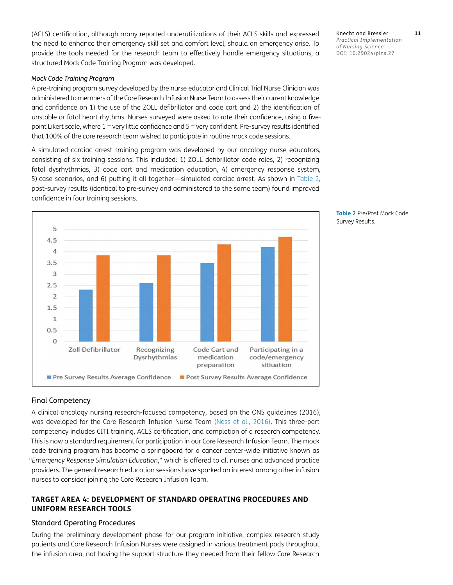(ACLS) certification, although many reported underutilizations of their ACLS skills and expressed the need to enhance their emergency skill set and comfort level, should an emergency arise. To provide the tools needed for the research team to effectively handle emergency situations, a structured Mock Code Training Program was developed.

#### *Mock Code Training Program*

A pre-training program survey developed by the nurse educator and Clinical Trial Nurse Clinician was administered to members of the Core Research Infusion Nurse Team to assess their current knowledge and confidence on 1) the use of the ZOLL defibrillator and code cart and 2) the identification of unstable or fatal heart rhythms. Nurses surveyed were asked to rate their confidence, using a fivepoint Likert scale, where 1 = very little confidence and 5 = very confident. Pre-survey results identified that 100% of the core research team wished to participate in routine mock code sessions.

A simulated cardiac arrest training program was developed by our oncology nurse educators, consisting of six training sessions. This included: 1) ZOLL defibrillator code roles, 2) recognizing fatal dysrhythmias, 3) code cart and medication education, 4) emergency response system, 5) case scenarios, and 6) putting it all together—simulated cardiac arrest. As shown in [Table 2](#page-5-0), post-survey results (identical to pre-survey and administered to the same team) found improved confidence in four training sessions.



#### <span id="page-5-0"></span>**Table 2** Pre/Post Mock Code Survey Results.

### Final Competency

A clinical oncology nursing research-focused competency, based on the ONS guidelines (2016), was developed for the Core Research Infusion Nurse Team ([Ness et al., 2016\)](#page-9-11). This three-part competency includes CITI training, ACLS certification, and completion of a research competency. This is now a standard requirement for participation in our Core Research Infusion Team. The mock code training program has become a springboard for a cancer center-wide initiative known as "*Emergency Response Simulation Education*," which is offered to all nurses and advanced practice providers. The general research education sessions have sparked an interest among other infusion nurses to consider joining the Core Research Infusion Team.

### **TARGET AREA 4: DEVELOPMENT OF STANDARD OPERATING PROCEDURES AND UNIFORM RESEARCH TOOLS**

### Standard Operating Procedures

During the preliminary development phase for our program initiative, complex research study patients and Core Research Infusion Nurses were assigned in various treatment pods throughout the infusion area, not having the support structure they needed from their fellow Core Research

Knecht and Bressler **11**

*Practical Implementation of Nursing Science*

DOI: 10.29024/pins.27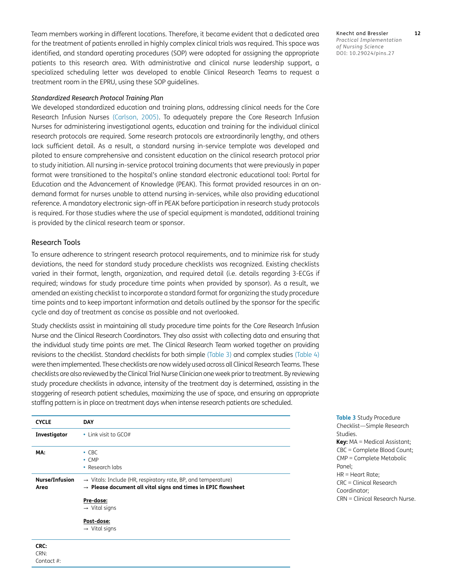Team members working in different locations. Therefore, it became evident that a dedicated area for the treatment of patients enrolled in highly complex clinical trials was required. This space was identified, and standard operating procedures (SOP) were adopted for assigning the appropriate patients to this research area. With administrative and clinical nurse leadership support, a specialized scheduling letter was developed to enable Clinical Research Teams to request a treatment room in the EPRU, using these SOP guidelines.

#### *Standardized Research Protocol Training Plan*

We developed standardized education and training plans, addressing clinical needs for the Core Research Infusion Nurses [\(Carlson, 2005\)](#page-9-5). To adequately prepare the Core Research Infusion Nurses for administering investigational agents, education and training for the individual clinical research protocols are required. Some research protocols are extraordinarily lengthy, and others lack sufficient detail. As a result, a standard nursing in-service template was developed and piloted to ensure comprehensive and consistent education on the clinical research protocol prior to study initiation. All nursing in-service protocol training documents that were previously in paper format were transitioned to the hospital's online standard electronic educational tool: Portal for Education and the Advancement of Knowledge (PEAK). This format provided resources in an ondemand format for nurses unable to attend nursing in-services, while also providing educational reference. A mandatory electronic sign-off in PEAK before participation in research study protocols is required. For those studies where the use of special equipment is mandated, additional training is provided by the clinical research team or sponsor.

#### Research Tools

Contact #:

To ensure adherence to stringent research protocol requirements, and to minimize risk for study deviations, the need for standard study procedure checklists was recognized. Existing checklists varied in their format, length, organization, and required detail (i.e. details regarding 3-ECGs if required; windows for study procedure time points when provided by sponsor). As a result, we amended an existing checklist to incorporate a standard format for organizing the study procedure time points and to keep important information and details outlined by the sponsor for the specific cycle and day of treatment as concise as possible and not overlooked.

Study checklists assist in maintaining all study procedure time points for the Core Research Infusion Nurse and the Clinical Research Coordinators. They also assist with collecting data and ensuring that the individual study time points are met. The Clinical Research Team worked together on providing revisions to the checklist. Standard checklists for both simple ([Table 3](#page-6-0)) and complex studies [\(Table 4](#page-7-0)) were then implemented. These checklists are now widely used across all Clinical Research Teams. These checklists are also reviewed by the Clinical Trial Nurse Clinician one week prior to treatment. By reviewing study procedure checklists in advance, intensity of the treatment day is determined, assisting in the staggering of research patient schedules, maximizing the use of space, and ensuring an appropriate staffing pattern is in place on treatment days when intense research patients are scheduled.

| <b>CYCLE</b>                  | <b>DAY</b>                                                                                                                                             |
|-------------------------------|--------------------------------------------------------------------------------------------------------------------------------------------------------|
| Investigator                  | • Link visit to $GCO#$                                                                                                                                 |
| MA:                           | $-CBC$<br>$\cdot$ CMP<br>• Research labs                                                                                                               |
| <b>Nurse/Infusion</b><br>Area | $\rightarrow$ Vitals: Include (HR, respiratory rate, BP, and temperature)<br>$\rightarrow$ Please document all vital signs and times in EPIC flowsheet |
|                               | Pre-dose:<br>$\rightarrow$ Vital signs                                                                                                                 |
|                               | Post-dose:<br>$\rightarrow$ Vital signs                                                                                                                |
| CRC:<br>CRN:                  |                                                                                                                                                        |

Checklist—Simple Research Studies. **Key:** MA = Medical Assistant; CBC = Complete Blood Count; CMP = Complete Metabolic Panel; HR = Heart Rate; CRC = Clinical Research Coordinator; CRN = Clinical Research Nurse.

<span id="page-6-0"></span>**Table 3** Study Procedure

Knecht and Bressler **12** *Practical Implementation of Nursing Science* DOI: 10.29024/pins.27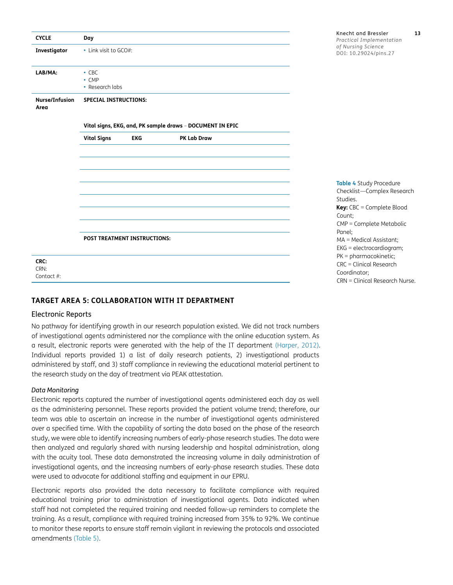| <b>CYCLE</b>               | Day                                           |            |                                                           |  |
|----------------------------|-----------------------------------------------|------------|-----------------------------------------------------------|--|
| Investigator               | • Link visit to GCO#:                         |            |                                                           |  |
| LAB/MA:                    | $\cdot$ CBC<br>$\cdot$ CMP<br>• Research labs |            |                                                           |  |
| Nurse/Infusion<br>Area     | <b>SPECIAL INSTRUCTIONS:</b>                  |            |                                                           |  |
|                            |                                               |            | Vital signs, EKG, and, PK sample draws - DOCUMENT IN EPIC |  |
|                            | <b>Vital Signs</b>                            | <b>EKG</b> | PK Lab Draw                                               |  |
|                            |                                               |            |                                                           |  |
|                            |                                               |            |                                                           |  |
|                            |                                               |            |                                                           |  |
|                            |                                               |            |                                                           |  |
|                            |                                               |            |                                                           |  |
|                            |                                               |            |                                                           |  |
|                            |                                               |            |                                                           |  |
|                            | POST TREATMENT INSTRUCTIONS:                  |            |                                                           |  |
| CRC:<br>CRN:<br>Contact #: |                                               |            |                                                           |  |
|                            |                                               |            |                                                           |  |

### **TARGET AREA 5: COLLABORATION WITH IT DEPARTMENT**

#### Electronic Reports

No pathway for identifying growth in our research population existed. We did not track numbers of investigational agents administered nor the compliance with the online education system. As a result, electronic reports were generated with the help of the IT department ([Harper, 2012](#page-9-13)). Individual reports provided 1) a list of daily research patients, 2) investigational products administered by staff, and 3) staff compliance in reviewing the educational material pertinent to the research study on the day of treatment via PEAK attestation.

#### *Data Monitoring*

Electronic reports captured the number of investigational agents administered each day as well as the administering personnel. These reports provided the patient volume trend; therefore, our team was able to ascertain an increase in the number of investigational agents administered over a specified time. With the capability of sorting the data based on the phase of the research study, we were able to identify increasing numbers of early-phase research studies. The data were then analyzed and regularly shared with nursing leadership and hospital administration, along with the acuity tool. These data demonstrated the increasing volume in daily administration of investigational agents, and the increasing numbers of early-phase research studies. These data were used to advocate for additional staffing and equipment in our EPRU.

Electronic reports also provided the data necessary to facilitate compliance with required educational training prior to administration of investigational agents. Data indicated when staff had not completed the required training and needed follow-up reminders to complete the training. As a result, compliance with required training increased from 35% to 92%. We continue to monitor these reports to ensure staff remain vigilant in reviewing the protocols and associated amendments [\(Table 5\)](#page-8-0).

<span id="page-7-0"></span>**Table 4** Study Procedure Checklist—Complex Research Studies. **Key:** CBC = Complete Blood Count; CMP = Complete Metabolic Panel; MA = Medical Assistant; EKG = electrocardiogram; PK = pharmacokinetic; CRC = Clinical Research Coordinator; CRN = Clinical Research Nurse.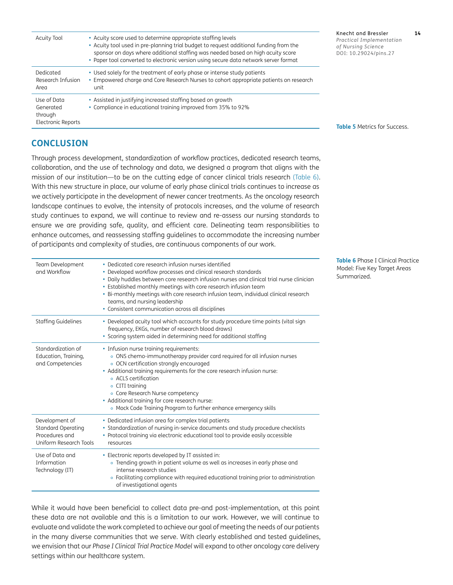| <b>Acuity Tool</b>                                               | • Acuity score used to determine appropriate staffing levels<br>• Acuity tool used in pre-planning trial budget to request additional funding from the<br>sponsor on days where additional staffing was needed based on high acuity score<br>• Paper tool converted to electronic version using secure data network server format | Knecht and Bressler<br>Practical Implementation<br>of Nursing Science<br>DOI: 10.29024/pins.27 |  |
|------------------------------------------------------------------|-----------------------------------------------------------------------------------------------------------------------------------------------------------------------------------------------------------------------------------------------------------------------------------------------------------------------------------|------------------------------------------------------------------------------------------------|--|
| Dedicated<br>Research Infusion<br>Area                           | • Used solely for the treatment of early phase or intense study patients<br>• Empowered charge and Core Research Nurses to cohort appropriate patients on research<br>unit                                                                                                                                                        |                                                                                                |  |
| Use of Data<br>Generated<br>through<br><b>Electronic Reports</b> | • Assisted in justifying increased staffing based on growth<br>• Compliance in educational training improved from 35% to 92%                                                                                                                                                                                                      | <b>Table 5 Metrics for Success.</b>                                                            |  |

### **CONCLUSION**

Through process development, standardization of workflow practices, dedicated research teams, collaboration, and the use of technology and data, we designed a program that aligns with the mission of our institution—to be on the cutting edge of cancer clinical trials research ([Table 6](#page-8-1)). With this new structure in place, our volume of early phase clinical trials continues to increase as we actively participate in the development of newer cancer treatments. As the oncology research landscape continues to evolve, the intensity of protocols increases, and the volume of research study continues to expand, we will continue to review and re-assess our nursing standards to ensure we are providing safe, quality, and efficient care. Delineating team responsibilities to enhance outcomes, and reassessing staffing guidelines to accommodate the increasing number of participants and complexity of studies, are continuous components of our work.

| Team Development<br>and Workflow                                                        | • Dedicated core research infusion nurses identified<br>• Developed workflow processes and clinical research standards<br>• Daily huddles between core research infusion nurses and clinical trial nurse clinician<br>• Established monthly meetings with core research infusion team<br>• Bi-monthly meetings with core research infusion team, individual clinical research<br>teams, and nursing leadership<br>• Consistent communication across all disciplines |
|-----------------------------------------------------------------------------------------|---------------------------------------------------------------------------------------------------------------------------------------------------------------------------------------------------------------------------------------------------------------------------------------------------------------------------------------------------------------------------------------------------------------------------------------------------------------------|
| Staffing Guidelines                                                                     | • Developed acuity tool which accounts for study procedure time points (vital sign<br>frequency, EKGs, number of research blood draws)<br>• Scoring system aided in determining need for additional staffing                                                                                                                                                                                                                                                        |
| Standardization of<br>Education, Training,<br>and Competencies                          | • Infusion nurse training requirements:<br>· ONS chemo-immunotherapy provider card required for all infusion nurses<br>• OCN certification strongly encouraged<br>• Additional training requirements for the core research infusion nurse:<br><b>Q</b> ACLS certification<br>• CITI training<br>• Core Research Nurse competency<br>• Additional training for core research nurse:<br>o Mock Code Training Program to further enhance emergency skills              |
| Development of<br><b>Standard Operating</b><br>Procedures and<br>Uniform Research Tools | • Dedicated infusion area for complex trial patients<br>• Standardization of nursing in-service documents and study procedure checklists<br>• Protocol training via electronic educational tool to provide easily accessible<br>resources                                                                                                                                                                                                                           |
| Use of Data and<br>Information<br>Technology (IT)                                       | • Electronic reports developed by IT assisted in:<br>· Trending growth in patient volume as well as increases in early phase and<br>intense research studies<br>• Facilitating compliance with required educational training prior to administration<br>of investigational agents                                                                                                                                                                                   |

While it would have been beneficial to collect data pre-and post-implementation, at this point these data are not available and this is a limitation to our work. However, we will continue to evaluate and validate the work completed to achieve our goal of meeting the needs of our patients in the many diverse communities that we serve. With clearly established and tested guidelines, we envision that our *Phase I Clinical Trial Practice Model* will expand to other oncology care delivery settings within our healthcare system.

<span id="page-8-1"></span><span id="page-8-0"></span>**Table 6** Phase I Clinical Practice Model: Five Key Target Areas Summarized.